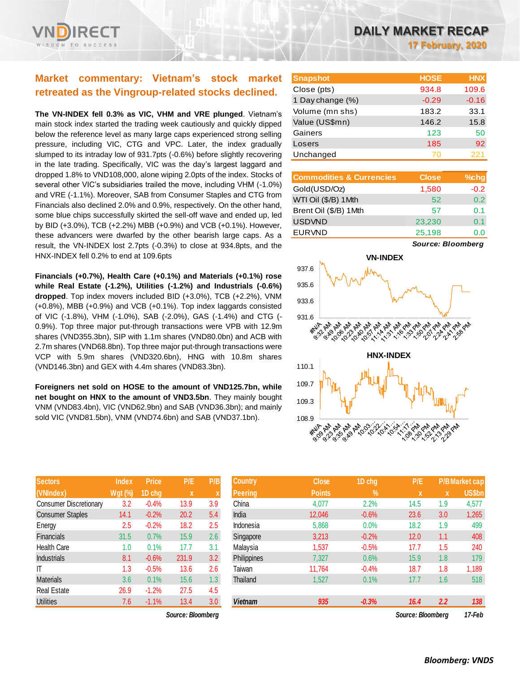# **Market commentary: Vietnam's stock market retreated as the Vingroup-related stocks declined.**

**The VN-INDEX fell 0.3% as VIC, VHM and VRE plunged**. Vietnam's main stock index started the trading week cautiously and quickly dipped below the reference level as many large caps experienced strong selling pressure, including VIC, CTG and VPC. Later, the index gradually slumped to its intraday low of 931.7pts (-0.6%) before slightly recovering in the late trading. Specifically, VIC was the day's largest laggard and dropped 1.8% to VND108,000, alone wiping 2.0pts of the index. Stocks of several other VIC's subsidiaries trailed the move, including VHM (-1.0%) and VRE (-1.1%). Moreover, SAB from Consumer Staples and CTG from Financials also declined 2.0% and 0.9%, respectively. On the other hand, some blue chips successfully skirted the sell-off wave and ended up, led by BID (+3.0%), TCB (+2.2%) MBB (+0.9%) and VCB (+0.1%). However, these advancers were dwarfed by the other bearish large caps. As a result, the VN-INDEX lost 2.7pts (-0.3%) to close at 934.8pts, and the HNX-INDEX fell 0.2% to end at 109.6pts

**Financials (+0.7%), Health Care (+0.1%) and Materials (+0.1%) rose while Real Estate (-1.2%), Utilities (-1.2%) and Industrials (-0.6%) dropped**. Top index movers included BID (+3.0%), TCB (+2.2%), VNM (+0.8%), MBB (+0.9%) and VCB (+0.1%). Top index laggards consisted of VIC (-1.8%), VHM (-1.0%), SAB (-2.0%), GAS (-1.4%) and CTG (- 0.9%). Top three major put-through transactions were VPB with 12.9m shares (VND355.3bn), SIP with 1.1m shares (VND80.0bn) and ACB with 2.7m shares (VND68.8bn). Top three major put-through transactions were VCP with 5.9m shares (VND320.6bn), HNG with 10.8m shares (VND146.3bn) and GEX with 4.4m shares (VND83.3bn).

**Foreigners net sold on HOSE to the amount of VND125.7bn, while net bought on HNX to the amount of VND3.5bn**. They mainly bought VNM (VND83.4bn), VIC (VND62.9bn) and SAB (VND36.3bn); and mainly sold VIC (VND81.5bn), VNM (VND74.6bn) and SAB (VND37.1bn).

| <b>Sectors</b>                | <b>Index</b> | <b>Price</b> | P/E   | P/B |
|-------------------------------|--------------|--------------|-------|-----|
| (VNIndex)                     | Wgt (%)      | 1D chg       | x     | X   |
| <b>Consumer Discretionary</b> | 3.2          | $-0.4%$      | 13.9  | 3.9 |
| <b>Consumer Staples</b>       | 14.1         | $-0.2%$      | 20.2  | 5.4 |
| Energy                        | 2.5          | $-0.2%$      | 18.2  | 2.5 |
| <b>Financials</b>             | 31.5         | 0.7%         | 15.9  | 2.6 |
| Health Care                   | 1.0          | 0.1%         | 17.7  | 3.1 |
| <b>Industrials</b>            | 8.1          | $-0.6%$      | 231.9 | 3.2 |
| IT                            | 1.3          | $-0.5%$      | 13.6  | 2.6 |
| <b>Materials</b>              | 3.6          | 0.1%         | 15.6  | 1.3 |
| <b>Real Estate</b>            | 26.9         | $-1.2%$      | 27.5  | 4.5 |
| <b>Utilities</b>              | 7.6          | $-1.1%$      | 13.4  | 3.0 |

 $Source: Bloomberg$ 

**17 February, 2020**

| <b>Snapshot</b>  | <b>HOSE</b> | <b>HNX</b> |
|------------------|-------------|------------|
| Close (pts)      | 934.8       | 109.6      |
| 1 Day change (%) | $-0.29$     | $-0.16$    |
| Volume (mn shs)  | 183.2       | 33.1       |
| Value (US\$mn)   | 146.2       | 15.8       |
| Gainers          | 123         | 50         |
| Losers           | 185         | 92         |
| Unchanged        | 70          | 221        |

| <b>Commodities &amp; Currencies</b> | <b>Close</b> | $%$ chg          |
|-------------------------------------|--------------|------------------|
| Gold(USD/Oz)                        | 1,580        | $-0.2$           |
| WTI Oil (\$/B) 1 Mth                | 52           | 0.2 <sub>0</sub> |
| Brent Oil (\$/B) 1Mth               | 57           | O 1              |
| <b>USDVND</b>                       | 23,230       | 0.1              |
| <b>EURVND</b>                       | 25,198       | O.O              |

*Source: Bloomberg*



| <b>Sectors</b>                | <b>Index</b>   | <b>Price</b> | P/E               | P/B              | <b>Country</b> | <b>Close</b>  | 1D chg     | P/E               |     | <b>P/B Market cap</b> |
|-------------------------------|----------------|--------------|-------------------|------------------|----------------|---------------|------------|-------------------|-----|-----------------------|
| (VNIndex)                     | <b>Wgt (%)</b> | 1D cha       | X                 |                  | <b>Peering</b> | <b>Points</b> | $\sqrt{2}$ | IX.               | X   | US\$bn                |
| <b>Consumer Discretionary</b> | 3.2            | $-0.4%$      | 13.9              | 3.9              | China          | 4,077         | 2.2%       | 14.5              | 1.9 | 4,577                 |
| <b>Consumer Staples</b>       | 14.1           | $-0.2%$      | 20.2              | 5.4              | India          | 12,046        | $-0.6%$    | 23.6              | 3.0 | 1,265                 |
| Energy                        | 2.5            | $-0.2%$      | 18.2              | 2.5              | Indonesia      | 5,868         | 0.0%       | 18.2              | 1.9 | 499                   |
| <b>Financials</b>             | 31.5           | 0.7%         | 15.9              | 2.6              | Singapore      | 3,213         | $-0.2%$    | 12.0              | 1.1 | 408                   |
| Health Care                   | 1.0            | 0.1%         | 17.7              | 3.1              | Malaysia       | 1,537         | $-0.5%$    | 17.7              | 1.5 | 240                   |
| <b>Industrials</b>            | 8.1            | $-0.6%$      | 231.9             | 3.2              | Philippines    | 7,327         | 0.6%       | 15.9              | 1.8 | 179                   |
| ΙT                            | 1.3            | $-0.5%$      | 13.6              | 2.6              | Taiwan         | 11.764        | $-0.4%$    | 18.7              | 1.8 | 1,189                 |
| <b>Materials</b>              | 3.6            | 0.1%         | 15.6              | 1.3 <sub>2</sub> | Thailand       | 1,527         | 0.1%       | 17.7              | 1.6 | 518                   |
| Real Estate                   | 26.9           | $-1.2%$      | 27.5              | 4.5              |                |               |            |                   |     |                       |
| <b>Utilities</b>              | 7.6            | $-1.1%$      | 13.4              | 3.0              | <b>Vietnam</b> | 935           | $-0.3%$    | 16.4              | 2.2 | 138                   |
|                               |                |              | Source: Bloomberg |                  |                |               |            | Source: Bloomberg |     | 17-Feb                |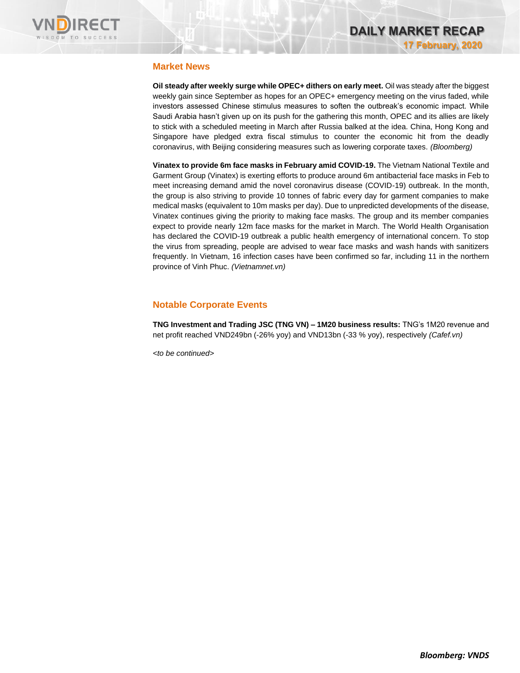

# **Market News**

**Oil steady after weekly surge while OPEC+ dithers on early meet.** Oil was steady after the biggest weekly gain since September as hopes for an OPEC+ emergency meeting on the virus faded, while investors assessed Chinese stimulus measures to soften the outbreak's economic impact. While Saudi Arabia hasn't given up on its push for the gathering this month, OPEC and its allies are likely to stick with a scheduled meeting in March after Russia balked at the idea. China, Hong Kong and Singapore have pledged extra fiscal stimulus to counter the economic hit from the deadly coronavirus, with Beijing considering measures such as lowering corporate taxes. *(Bloomberg)*

**Vinatex to provide 6m face masks in February amid COVID-19.** The Vietnam National Textile and Garment Group (Vinatex) is exerting efforts to produce around 6m antibacterial face masks in Feb to meet increasing demand amid the novel coronavirus disease (COVID-19) outbreak. In the month, the group is also striving to provide 10 tonnes of fabric every day for garment companies to make medical masks (equivalent to 10m masks per day). Due to unpredicted developments of the disease, Vinatex continues giving the priority to making face masks. The group and its member companies expect to provide nearly 12m face masks for the market in March. The World Health Organisation has declared the COVID-19 outbreak a public health emergency of international concern. To stop the virus from spreading, people are advised to wear face masks and wash hands with sanitizers frequently. In Vietnam, 16 infection cases have been confirmed so far, including 11 in the northern province of Vinh Phuc. *(Vietnamnet.vn)*

# **Notable Corporate Events**

**TNG Investment and Trading JSC (TNG VN) – 1M20 business results:** TNG's 1M20 revenue and net profit reached VND249bn (-26% yoy) and VND13bn (-33 % yoy), respectively *(Cafef.vn)*

*<to be continued>*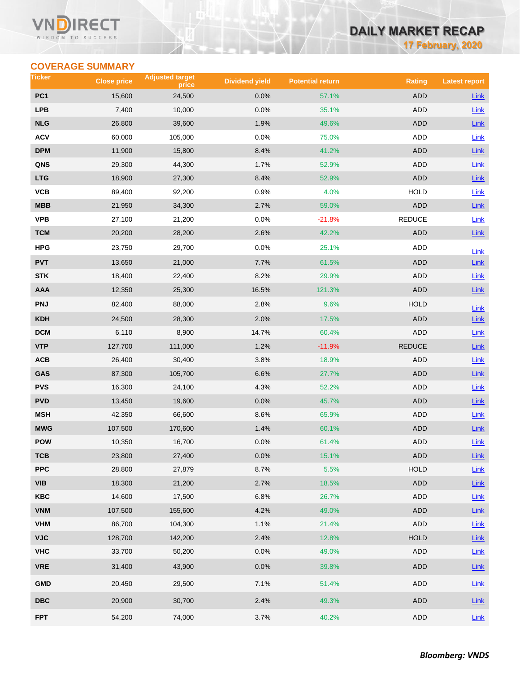### **VN RECT** WISDOM TO SUCCESS

# **DAILY MARKET RECAP**

**17 February, 2020**

# **COVERAGE SUMMARY**

| Ticker                  | <b>Close price</b> | <b>Adjusted target</b><br>price | <b>Dividend yield</b> | <b>Potential return</b> | <b>Rating</b> | <b>Latest report</b> |
|-------------------------|--------------------|---------------------------------|-----------------------|-------------------------|---------------|----------------------|
| PC <sub>1</sub>         | 15,600             | 24,500                          | 0.0%                  | 57.1%                   | <b>ADD</b>    | Link                 |
| <b>LPB</b>              | 7,400              | 10,000                          | 0.0%                  | 35.1%                   | <b>ADD</b>    | Link                 |
| <b>NLG</b>              | 26,800             | 39,600                          | 1.9%                  | 49.6%                   | <b>ADD</b>    | Link                 |
| <b>ACV</b>              | 60,000             | 105,000                         | 0.0%                  | 75.0%                   | <b>ADD</b>    | Link                 |
| <b>DPM</b>              | 11,900             | 15,800                          | 8.4%                  | 41.2%                   | <b>ADD</b>    | $Link$               |
| QNS                     | 29,300             | 44,300                          | 1.7%                  | 52.9%                   | <b>ADD</b>    | Link                 |
| <b>LTG</b>              | 18,900             | 27,300                          | 8.4%                  | 52.9%                   | <b>ADD</b>    | Link                 |
| VCB                     | 89,400             | 92,200                          | 0.9%                  | 4.0%                    | <b>HOLD</b>   | Link                 |
| <b>MBB</b>              | 21,950             | 34,300                          | 2.7%                  | 59.0%                   | <b>ADD</b>    | Link                 |
| <b>VPB</b>              | 27,100             | 21,200                          | 0.0%                  | $-21.8%$                | <b>REDUCE</b> | Link                 |
| <b>TCM</b>              | 20,200             | 28,200                          | 2.6%                  | 42.2%                   | <b>ADD</b>    | Link                 |
| <b>HPG</b>              | 23,750             | 29,700                          | 0.0%                  | 25.1%                   | ADD           | Link                 |
| <b>PVT</b>              | 13,650             | 21,000                          | 7.7%                  | 61.5%                   | <b>ADD</b>    | Link                 |
| <b>STK</b>              | 18,400             | 22,400                          | 8.2%                  | 29.9%                   | ADD           | Link                 |
| AAA                     | 12,350             | 25,300                          | 16.5%                 | 121.3%                  | <b>ADD</b>    | Link                 |
| <b>PNJ</b>              | 82,400             | 88,000                          | 2.8%                  | 9.6%                    | <b>HOLD</b>   | Link                 |
| <b>KDH</b>              | 24,500             | 28,300                          | 2.0%                  | 17.5%                   | <b>ADD</b>    | $Link$               |
| <b>DCM</b>              | 6,110              | 8,900                           | 14.7%                 | 60.4%                   | <b>ADD</b>    | Link                 |
| <b>VTP</b>              | 127,700            | 111,000                         | 1.2%                  | $-11.9%$                | <b>REDUCE</b> | $Link$               |
| ACB                     | 26,400             | 30,400                          | 3.8%                  | 18.9%                   | ADD           | <b>Link</b>          |
| GAS                     | 87,300             | 105,700                         | 6.6%                  | 27.7%                   | <b>ADD</b>    | $Link$               |
| <b>PVS</b>              | 16,300             | 24,100                          | 4.3%                  | 52.2%                   | <b>ADD</b>    | Link                 |
| <b>PVD</b>              | 13,450             | 19,600                          | 0.0%                  | 45.7%                   | <b>ADD</b>    | Link                 |
| <b>MSH</b>              | 42,350             | 66,600                          | 8.6%                  | 65.9%                   | ADD           | Link                 |
| <b>MWG</b>              | 107,500            | 170,600                         | 1.4%                  | 60.1%                   | <b>ADD</b>    | Link                 |
| <b>POW</b>              | 10,350             | 16,700                          | 0.0%                  | 61.4%                   | <b>ADD</b>    | Link                 |
| тсв                     | 23,800             | 27,400                          | 0.0%                  | 15.1%                   | <b>ADD</b>    | $Link$               |
| <b>PPC</b>              | 28,800             | 27,879                          | 8.7%                  | 5.5%                    | <b>HOLD</b>   | Link                 |
| <b>VIB</b>              | 18,300             | 21,200                          | 2.7%                  | 18.5%                   | ADD           | $Link$               |
| <b>KBC</b>              | 14,600             | 17,500                          | 6.8%                  | 26.7%                   | ADD           | Link                 |
| <b>VNM</b>              | 107,500            | 155,600                         | 4.2%                  | 49.0%                   | ADD           | Link                 |
| <b>VHM</b>              | 86,700             | 104,300                         | 1.1%                  | 21.4%                   | ADD           | Link                 |
| <b>VJC</b>              | 128,700            | 142,200                         | 2.4%                  | 12.8%                   | <b>HOLD</b>   | Link                 |
| <b>VHC</b>              | 33,700             | 50,200                          | 0.0%                  | 49.0%                   | ADD           | Link                 |
| <b>VRE</b>              | 31,400             | 43,900                          | 0.0%                  | 39.8%                   | ADD           | Link                 |
| <b>GMD</b>              | 20,450             | 29,500                          | 7.1%                  | 51.4%                   | ADD           | Link                 |
| $\overline{\text{DBC}}$ | 20,900             | 30,700                          | 2.4%                  | 49.3%                   | ADD           | $Link$               |
| <b>FPT</b>              | 54,200             | 74,000                          | 3.7%                  | 40.2%                   | ADD           | Link                 |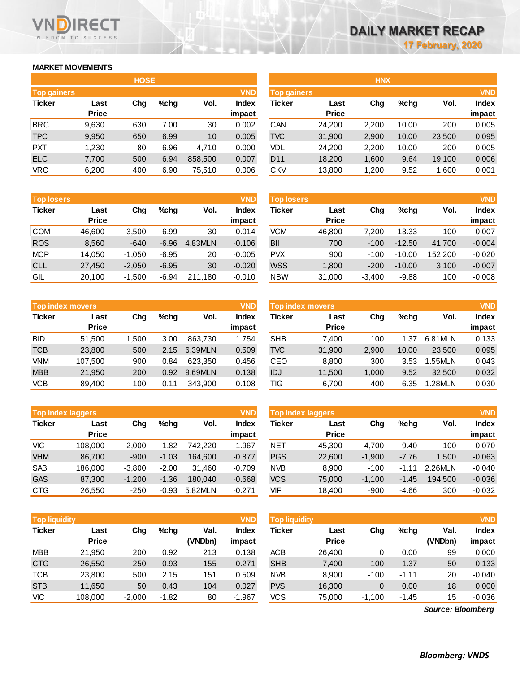### **MARKET MOVEMENTS**

WISDOM TO SUCCESS

RECT

|                    |              | <b>HOSE</b> |         |                 |            | <b>HNX</b>         |              |       |         |        |            |
|--------------------|--------------|-------------|---------|-----------------|------------|--------------------|--------------|-------|---------|--------|------------|
| <b>Top gainers</b> |              |             |         |                 | <b>VND</b> | <b>Top gainers</b> |              |       |         |        | <b>VND</b> |
| <b>Ticker</b>      | Last         | Chg         | $%$ chg | Vol.            | Index      | Ticker             | Last         | Chg   | $%$ chg | Vol.   | Index      |
|                    | <b>Price</b> |             |         |                 | impact     |                    | <b>Price</b> |       |         |        | impact     |
| <b>BRC</b>         | 9,630        | 630         | 7.00    | 30              | 0.002      | CAN                | 24,200       | 2,200 | 10.00   | 200    | 0.005      |
| <b>TPC</b>         | 9,950        | 650         | 6.99    | 10 <sup>°</sup> | 0.005      | <b>TVC</b>         | 31,900       | 2,900 | 10.00   | 23,500 | 0.095      |
| <b>PXT</b>         | 1.230        | 80          | 6.96    | 4.710           | 0.000      | VDL                | 24.200       | 2,200 | 10.00   | 200    | 0.005      |
| <b>ELC</b>         | 7,700        | 500         | 6.94    | 858,500         | 0.007      | D <sub>11</sub>    | 18,200       | 1,600 | 9.64    | 19,100 | 0.006      |
| <b>VRC</b>         | 6,200        | 400         | 6.90    | 75,510          | 0.006      | <b>CKV</b>         | 13,800       | 1,200 | 9.52    | 1,600  | 0.001      |

| <b>Top losers</b> |              |          |         |         | <b>VND</b>   |
|-------------------|--------------|----------|---------|---------|--------------|
| <b>Ticker</b>     | Last         | Cha      | %chq    | Vol.    | <b>Index</b> |
|                   | <b>Price</b> |          |         |         | impact       |
| <b>COM</b>        | 46,600       | $-3,500$ | $-6.99$ | 30      | $-0.014$     |
| <b>ROS</b>        | 8,560        | $-640$   | $-6.96$ | 4.83MLN | $-0.106$     |
| <b>MCP</b>        | 14,050       | $-1,050$ | $-6.95$ | 20      | $-0.005$     |
| <b>CLL</b>        | 27,450       | $-2,050$ | $-6.95$ | 30      | $-0.020$     |
| GIL               | 20,100       | $-1,500$ | $-6.94$ | 211.180 | $-0.010$     |

|               | <b>Top index movers</b> |       |         |         |              |  |  |  |  |  |  |
|---------------|-------------------------|-------|---------|---------|--------------|--|--|--|--|--|--|
| <b>Ticker</b> | Last                    | Cha   | $%$ chq | Vol.    | <b>Index</b> |  |  |  |  |  |  |
|               | <b>Price</b>            |       |         |         | impact       |  |  |  |  |  |  |
| <b>BID</b>    | 51,500                  | 1,500 | 3.00    | 863,730 | 1.754        |  |  |  |  |  |  |
| <b>TCB</b>    | 23,800                  | 500   | 2.15    | 6.39MLN | 0.509        |  |  |  |  |  |  |
| <b>VNM</b>    | 107,500                 | 900   | 0.84    | 623.350 | 0.456        |  |  |  |  |  |  |
| <b>MBB</b>    | 21,950                  | 200   | 0.92    | 9.69MLN | 0.138        |  |  |  |  |  |  |
| VCB           | 89,400                  | 100   | 0.11    | 343,900 | 0.108        |  |  |  |  |  |  |

|               | <b>Top index laggers</b> |          |         |         |              |  |  |  |  |  |  |
|---------------|--------------------------|----------|---------|---------|--------------|--|--|--|--|--|--|
| <b>Ticker</b> | Last                     | Cha      | %chq    | Vol.    | <b>Index</b> |  |  |  |  |  |  |
|               | <b>Price</b>             |          |         |         | impact       |  |  |  |  |  |  |
| VIC           | 108,000                  | $-2,000$ | $-1.82$ | 742.220 | $-1.967$     |  |  |  |  |  |  |
| <b>VHM</b>    | 86,700                   | $-900$   | $-1.03$ | 164,600 | $-0.877$     |  |  |  |  |  |  |
| <b>SAB</b>    | 186,000                  | $-3,800$ | $-2.00$ | 31,460  | $-0.709$     |  |  |  |  |  |  |
| <b>GAS</b>    | 87,300                   | $-1,200$ | $-1.36$ | 180,040 | $-0.668$     |  |  |  |  |  |  |
| CTG           | 26,550                   | $-250$   | $-0.93$ | 5.82MLN | $-0.271$     |  |  |  |  |  |  |

| <b>VND</b><br><b>Top liquidity</b> |                      |          |         |                 |                 | <b>Top liquidity</b> |                      |                |         |                   | <b>VND</b>             |
|------------------------------------|----------------------|----------|---------|-----------------|-----------------|----------------------|----------------------|----------------|---------|-------------------|------------------------|
| <b>Ticker</b>                      | Last<br><b>Price</b> | Chg      | %chg    | Val.<br>(VNDbn) | Index<br>impact | Ticker               | Last<br><b>Price</b> | Chg            | %chq    | Val.<br>(VNDbn)   | <b>Index</b><br>impact |
| <b>MBB</b>                         | 21,950               | 200      | 0.92    | 213             | 0.138           | <b>ACB</b>           | 26,400               | 0              | 0.00    | 99                | 0.000                  |
| <b>CTG</b>                         | 26,550               | $-250$   | $-0.93$ | 155             | $-0.271$        | <b>SHB</b>           | 7,400                | 100            | 1.37    | 50                | 0.133                  |
| <b>TCB</b>                         | 23,800               | 500      | 2.15    | 151             | 0.509           | <b>NVB</b>           | 8.900                | $-100$         | $-1.11$ | 20                | $-0.040$               |
| <b>STB</b>                         | 11,650               | 50       | 0.43    | 104             | 0.027           | <b>PVS</b>           | 16,300               | $\overline{0}$ | 0.00    | 18                | 0.000                  |
| <b>VIC</b>                         | 108,000              | $-2,000$ | $-1.82$ | 80              | $-1.967$        | VCS.                 | 75,000               | $-1,100$       | $-1.45$ | 15                | $-0.036$               |
|                                    |                      |          |         |                 |                 |                      |                      |                |         | Source: Bloomberg |                        |

*Source: Bloomberg*

|                    |              | <b>HOSE</b> |         |         |              | <b>HNX</b>      |                                  |       |         |        |              |  |
|--------------------|--------------|-------------|---------|---------|--------------|-----------------|----------------------------------|-------|---------|--------|--------------|--|
| <b>Top gainers</b> | <b>VND</b>   |             |         |         |              |                 | <b>VND</b><br><b>Top gainers</b> |       |         |        |              |  |
| Ticker             | Last         | Chg         | $%$ chg | Vol.    | <b>Index</b> | Ticker          | Last                             | Chg   | $%$ chg | Vol.   | <b>Index</b> |  |
|                    | <b>Price</b> |             |         |         | impact       |                 | <b>Price</b>                     |       |         |        | impact       |  |
| <b>BRC</b>         | 9,630        | 630         | 7.00    | 30      | 0.002        | CAN             | 24,200                           | 2,200 | 10.00   | 200    | 0.005        |  |
| <b>TPC</b>         | 9,950        | 650         | 6.99    | 10      | 0.005        | <b>TVC</b>      | 31,900                           | 2,900 | 10.00   | 23,500 | 0.095        |  |
| <b>PXT</b>         | 1,230        | 80          | 6.96    | 4,710   | 0.000        | VDL             | 24,200                           | 2,200 | 10.00   | 200    | 0.005        |  |
| <b>ELC</b>         | 7,700        | 500         | 6.94    | 858,500 | 0.007        | D <sub>11</sub> | 18,200                           | 1,600 | 9.64    | 19.100 | 0.006        |  |
| VRC                | 6,200        | 400         | 6.90    | 75,510  | 0.006        | <b>CKV</b>      | 13,800                           | 1,200 | 9.52    | 1,600  | 0.001        |  |
|                    |              |             |         |         |              |                 |                                  |       |         |        |              |  |

| <b>VND</b><br><b>Top losers</b> |              |          |         |         |              | <b>VND</b><br><b>Top losers</b> |              |          |          |         |              |
|---------------------------------|--------------|----------|---------|---------|--------------|---------------------------------|--------------|----------|----------|---------|--------------|
| Ticker                          | Last         | Chg      | $%$ chg | Vol.    | <b>Index</b> | Ticker                          | Last         | Chg      | $%$ chg  | Vol.    | <b>Index</b> |
|                                 | <b>Price</b> |          |         |         | impact       |                                 | <b>Price</b> |          |          |         | impact       |
| COM                             | 46.600       | $-3.500$ | $-6.99$ | 30      | $-0.014$     | VCM                             | 46.800       | $-7.200$ | $-13.33$ | 100     | $-0.007$     |
| <b>ROS</b>                      | 8,560        | $-640$   | $-6.96$ | 4.83MLN | $-0.106$     | <b>BII</b>                      | 700          | $-100$   | $-12.50$ | 41.700  | $-0.004$     |
| MCP                             | 14.050       | $-1,050$ | $-6.95$ | 20      | $-0.005$     | <b>PVX</b>                      | 900          | $-100$   | $-10.00$ | 152.200 | $-0.020$     |
| <b>CLL</b>                      | 27,450       | $-2,050$ | $-6.95$ | 30      | $-0.020$     | <b>WSS</b>                      | 1,800        | $-200$   | $-10.00$ | 3,100   | $-0.007$     |
| GIL                             | 20,100       | $-1,500$ | $-6.94$ | 211,180 | $-0.010$     | <b>NBW</b>                      | 31,000       | $-3,400$ | $-9.88$  | 100     | $-0.008$     |

|            | <b>Top index movers</b> |       |         |         | <b>VND</b>   | Top index movers |              |       |       |         |              |
|------------|-------------------------|-------|---------|---------|--------------|------------------|--------------|-------|-------|---------|--------------|
| Ticker     | Last                    | Chg   | $%$ chq | Vol.    | <b>Index</b> | Ticker           | Last         | Chg   | %chq  | Vol.    | <b>Index</b> |
|            | <b>Price</b>            |       |         |         | impact       |                  | <b>Price</b> |       |       |         | impact       |
| BID        | 51.500                  | 1.500 | 3.00    | 863.730 | 1.754        | <b>SHB</b>       | 7.400        | 100   | 1.37  | 6.81MLN | 0.133        |
| <b>TCB</b> | 23,800                  | 500   | 2.15    | 6.39MLN | 0.509        | <b>TVC</b>       | 31,900       | 2,900 | 10.00 | 23,500  | 0.095        |
| VNM        | 107.500                 | 900   | 0.84    | 623.350 | 0.456        | CEO              | 8,800        | 300   | 3.53  | .55MLN  | 0.043        |
| <b>MBB</b> | 21,950                  | 200   | 0.92    | 9.69MLN | 0.138        | <b>IDJ</b>       | 11,500       | 1.000 | 9.52  | 32.500  | 0.032        |
| VCB        | 89.400                  | 100   | 0.11    | 343,900 | 0.108        | TIG              | 6,700        | 400   | 6.35  | 1.28MLN | 0.030        |
|            |                         |       |         |         |              |                  |              |       |       |         |              |

| <b>Top index laggers</b> |                      |          | <b>VND</b> | Top index laggers |                 |            |                      |          | <b>VND</b> |         |                        |
|--------------------------|----------------------|----------|------------|-------------------|-----------------|------------|----------------------|----------|------------|---------|------------------------|
| Ticker                   | Last<br><b>Price</b> | Chg      | $%$ chg    | Vol.              | Index<br>impact | Ticker     | Last<br><b>Price</b> | Chg      | $%$ chg    | Vol.    | <b>Index</b><br>impact |
| VIC                      | 108,000              | $-2.000$ | $-1.82$    | 742.220           | $-1.967$        | <b>NET</b> | 45.300               | -4.700   | $-9.40$    | 100     | $-0.070$               |
| <b>VHM</b>               | 86,700               | $-900$   | $-1.03$    | 164.600           | $-0.877$        | <b>PGS</b> | 22,600               | $-1.900$ | $-7.76$    | 1.500   | $-0.063$               |
| <b>SAB</b>               | 186.000              | $-3.800$ | $-2.00$    | 31.460            | $-0.709$        | <b>NVB</b> | 8.900                | $-100$   | $-1.11$    | 2.26MLN | $-0.040$               |
| <b>GAS</b>               | 87,300               | $-1.200$ | $-1.36$    | 180.040           | $-0.668$        | <b>VCS</b> | 75.000               | $-1.100$ | $-1.45$    | 194.500 | $-0.036$               |
| CTG                      | 26.550               | $-250$   | $-0.93$    | 5.82MLN           | $-0.271$        | VIF        | 18.400               | $-900$   | $-4.66$    | 300     | $-0.032$               |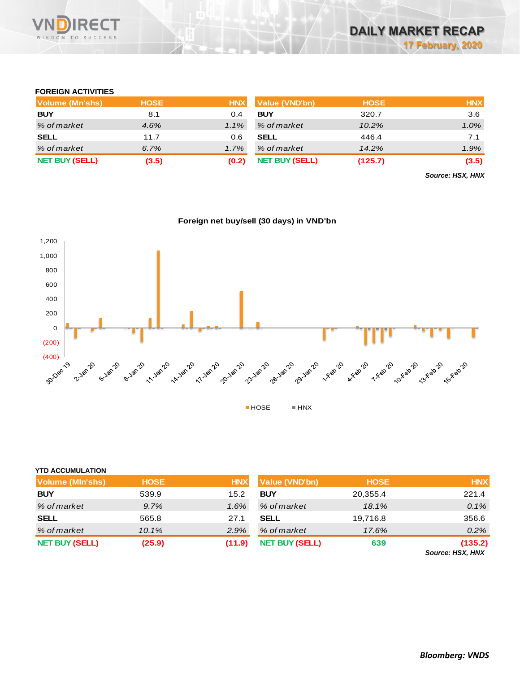

## **FOREIGN ACTIVITIES**

| Volume (Mn'shs)       | <b>HOSE</b> | <b>HNX</b> | Value (VND'bn)        | <b>HOSE</b> | <b>HNX</b> |
|-----------------------|-------------|------------|-----------------------|-------------|------------|
| <b>BUY</b>            | 8.1         | 0.4        | <b>BUY</b>            | 320.7       | 3.6        |
| % of market           | 4.6%        | $1.1\%$    | % of market           | 10.2%       | 1.0%       |
| <b>SELL</b>           | 11.7        | 0.6        | <b>SELL</b>           | 446.4       | 7.1        |
| % of market           | 6.7%        | $1.7\%$    | % of market           | 14.2%       | 1.9%       |
| <b>NET BUY (SELL)</b> | (3.5)       | (0.2)      | <b>NET BUY (SELL)</b> | (125.7)     | (3.5)      |

*Source: HSX, HNX*





|                         |             |            |                       |             | Source: HSX, HNX |
|-------------------------|-------------|------------|-----------------------|-------------|------------------|
| <b>NET BUY (SELL)</b>   | (25.9)      | (11.9)     | <b>NET BUY (SELL)</b> | 639         | (135.2)          |
| % of market             | 10.1%       | 2.9%       | % of market           | 17.6%       | 0.2%             |
| <b>SELL</b>             | 565.8       | 27.1       | <b>SELL</b>           | 19,716.8    | 356.6            |
| % of market             | 9.7%        | 1.6%       | % of market           | 18.1%       | 0.1%             |
| <b>BUY</b>              | 539.9       | 15.2       | <b>BUY</b>            | 20,355.4    | 221.4            |
| Volume (MIn'shs)        | <b>HOSE</b> | <b>HNX</b> | Value (VND'bn)        | <b>HOSE</b> | <b>HNX</b>       |
| <b>YTD ACCUMULATION</b> |             |            |                       |             |                  |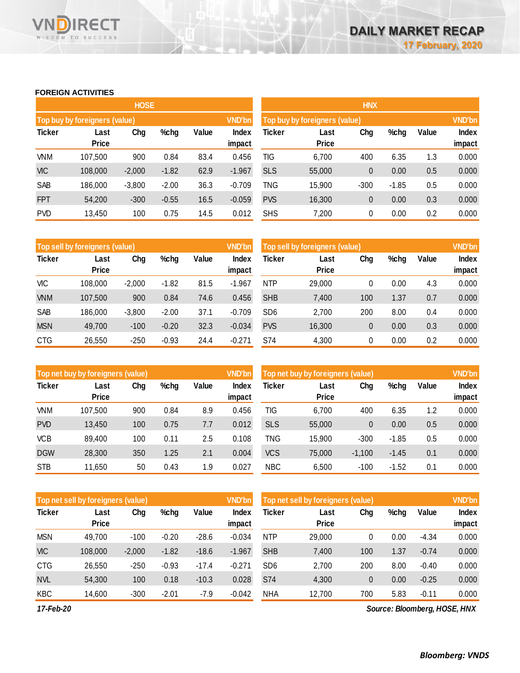### **FOREIGN ACTIVITIES**

WISDOM TO SUCCESS

VNĪ

**RECT** 

|               |                               | <b>HOSE</b> |         |      |               | <b>HNX</b>                    |              |              |         |       |              |  |
|---------------|-------------------------------|-------------|---------|------|---------------|-------------------------------|--------------|--------------|---------|-------|--------------|--|
|               | Top buy by foreigners (value) |             |         |      | <b>VND'bn</b> | Top buy by foreigners (value) |              |              |         |       |              |  |
| <b>Ticker</b> | Chg<br>%chg<br>Value<br>Last  |             |         |      |               | Ticker                        | Last         | Chg          | %chg    | Value | <b>Index</b> |  |
|               | <b>Price</b>                  |             |         |      | impact        |                               | <b>Price</b> |              |         |       | impact       |  |
| <b>VNM</b>    | 107,500                       | 900         | 0.84    | 83.4 | 0.456         | TIG                           | 6,700        | 400          | 6.35    | 1.3   | 0.000        |  |
| <b>VIC</b>    | 108,000                       | $-2,000$    | $-1.82$ | 62.9 | $-1.967$      | <b>SLS</b>                    | 55,000       | $\mathbf{0}$ | 0.00    | 0.5   | 0.000        |  |
| SAB           | 186,000                       | $-3,800$    | $-2.00$ | 36.3 | $-0.709$      | TNG                           | 15,900       | $-300$       | $-1.85$ | 0.5   | 0.000        |  |
| <b>FPT</b>    | 54,200                        | $-300$      | $-0.55$ | 16.5 | $-0.059$      | <b>PVS</b>                    | 16,300       | 0            | 0.00    | 0.3   | 0.000        |  |
| <b>PVD</b>    | 13,450                        | 100         | 0.75    | 14.5 | 0.012         | <b>SHS</b>                    | 7,200        | 0            | 0.00    | 0.2   | 0.000        |  |

|               | Top sell by foreigners (value) |          |         |       | <b>VND'bn</b>   | Top sell by foreigners (value) |                      | <b>VND'bn</b> |      |       |                        |
|---------------|--------------------------------|----------|---------|-------|-----------------|--------------------------------|----------------------|---------------|------|-------|------------------------|
| <b>Ticker</b> | Last<br><b>Price</b>           | Chg      | %chg    | Value | Index<br>impact | Ticker                         | Last<br><b>Price</b> | Chg           | %chg | Value | <b>Index</b><br>impact |
| <b>VIC</b>    | 108,000                        | $-2.000$ | $-1.82$ | 81.5  | $-1.967$        | <b>NTP</b>                     | 29,000               | 0             | 0.00 | 4.3   | 0.000                  |
| <b>VNM</b>    | 107,500                        | 900      | 0.84    | 74.6  | 0.456           | <b>SHB</b>                     | 7,400                | 100           | 1.37 | 0.7   | 0.000                  |
| SAB           | 186,000                        | $-3,800$ | $-2.00$ | 37.1  | $-0.709$        | SD <sub>6</sub>                | 2,700                | 200           | 8.00 | 0.4   | 0.000                  |
| <b>MSN</b>    | 49,700                         | $-100$   | $-0.20$ | 32.3  | $-0.034$        | <b>PVS</b>                     | 16,300               | 0             | 0.00 | 0.3   | 0.000                  |
| <b>CTG</b>    | 26,550                         | $-250$   | $-0.93$ | 24.4  | $-0.271$        | S74                            | 4,300                | 0             | 0.00 | 0.2   | 0.000                  |

|               | Top net buy by foreigners (value) |     |      |       | <b>VND'bn</b> | Top net buy by foreigners (value) |              |              |         |       |        |
|---------------|-----------------------------------|-----|------|-------|---------------|-----------------------------------|--------------|--------------|---------|-------|--------|
| <b>Ticker</b> | Last                              | Chg | %chg | Value | Index         | Ticker                            | Last         | Chg          | %chg    | Value | Index  |
|               | <b>Price</b>                      |     |      |       | impact        |                                   | <b>Price</b> |              |         |       | impact |
| VNM           | 107,500                           | 900 | 0.84 | 8.9   | 0.456         | TIG                               | 6,700        | 400          | 6.35    | 1.2   | 0.000  |
| <b>PVD</b>    | 13,450                            | 100 | 0.75 | 7.7   | 0.012         | <b>SLS</b>                        | 55,000       | $\mathbf{0}$ | 0.00    | 0.5   | 0.000  |
| <b>VCB</b>    | 89,400                            | 100 | 0.11 | 2.5   | 0.108         | TNG                               | 15,900       | $-300$       | $-1.85$ | 0.5   | 0.000  |
| <b>DGW</b>    | 28,300                            | 350 | 1.25 | 2.1   | 0.004         | <b>VCS</b>                        | 75,000       | $-1.100$     | $-1.45$ | 0.1   | 0.000  |
| <b>STB</b>    | 11,650                            | 50  | 0.43 | 1.9   | 0.027         | <b>NBC</b>                        | 6,500        | $-100$       | $-1.52$ | 0.1   | 0.000  |
|               |                                   |     |      |       |               |                                   |              |              |         |       |        |

|               | Top net sell by foreigners (value) |          |         |         | <b>VND'bn</b> | Top net sell by foreigners (value) | <b>VND'bn</b> |     |      |         |              |
|---------------|------------------------------------|----------|---------|---------|---------------|------------------------------------|---------------|-----|------|---------|--------------|
| <b>Ticker</b> | Last                               | Chg      | %chg    | Value   | Index         | Ticker                             | Last          | Chg | %chg | Value   | <b>Index</b> |
|               | Price                              |          |         |         | impact        |                                    | <b>Price</b>  |     |      |         | impact       |
| <b>MSN</b>    | 49.700                             | $-100$   | $-0.20$ | $-28.6$ | $-0.034$      | <b>NTP</b>                         | 29,000        | 0   | 0.00 | $-4.34$ | 0.000        |
| <b>VIC</b>    | 108,000                            | $-2.000$ | $-1.82$ | $-18.6$ | $-1.967$      | <b>SHB</b>                         | 7.400         | 100 | 1.37 | $-0.74$ | 0.000        |
| <b>CTG</b>    | 26,550                             | -250     | $-0.93$ | $-17.4$ | $-0.271$      | SD <sub>6</sub>                    | 2,700         | 200 | 8.00 | $-0.40$ | 0.000        |
| <b>NVL</b>    | 54.300                             | 100      | 0.18    | $-10.3$ | 0.028         | S74                                | 4,300         | 0   | 0.00 | $-0.25$ | 0.000        |
| <b>KBC</b>    | 14.600                             | $-300$   | $-2.01$ | $-7.9$  | $-0.042$      | <b>NHA</b>                         | 12,700        | 700 | 5.83 | $-0.11$ | 0.000        |

*17-Feb-20*

*Source: Bloomberg, HOSE, HNX*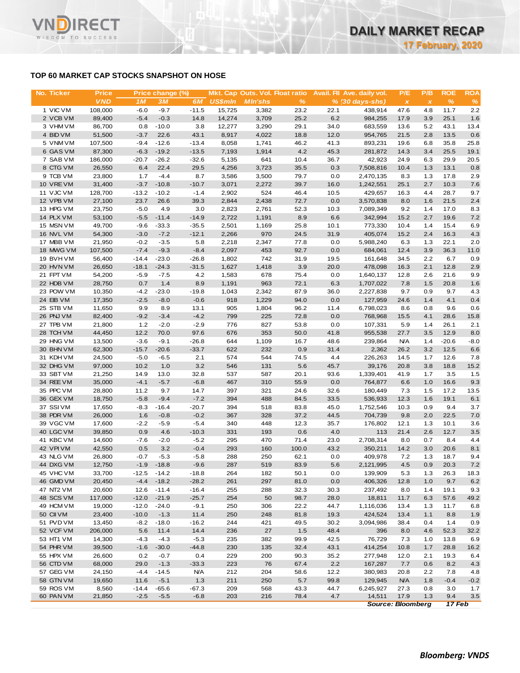# **TOP 60 MARKET CAP STOCKS SNAPSHOT ON HOSE**

**RECT** 

WISDOM TO SUCCESS

VND

| No. Ticker             | <b>Price</b>      |                 | Price change (%) |                   |                | Mkt. Cap Outs. Vol. Float ratio |              |              | Avail. Fil Ave. daily vol. | P/E            | P/B            | <b>ROE</b>   | <b>ROA</b>  |
|------------------------|-------------------|-----------------|------------------|-------------------|----------------|---------------------------------|--------------|--------------|----------------------------|----------------|----------------|--------------|-------------|
|                        | <b>VND</b>        | 1 <sub>M</sub>  | <b>3M</b>        | 6M                | <b>US\$mln</b> | <b>MIn'shs</b>                  | $\%$         |              | $% (30 days-shs)$          | $\pmb{\times}$ | $\pmb{\times}$ | $\%$         | %           |
| 1 VIC VM               | 108,000           | $-6.0$          | $-9.7$           | $-11.5$           | 15,725         | 3,382                           | 23.2         | 22.1         | 438.914                    | 47.6           | 4.8            | 11.7         | 2.2         |
| 2 VCB VM               | 89,400            | $-5.4$          | $-0.3$           | 14.8              | 14,274         | 3,709                           | 25.2         | 6.2          | 984,255                    | 17.9           | 3.9            | 25.1         | 1.6         |
| 3 VHM VM               | 86,700            | 0.8             | $-10.0$          | 3.8               | 12,277         | 3,290                           | 29.1         | 34.0         | 683,559                    | 13.6           | 5.2            | 43.1         | 13.4        |
| 4 BID VM               | 51,500            | $-3.7$          | 22.6             | 43.1              | 8,917          | 4,022                           | 18.8         | 12.0         | 954,765                    | 21.5           | 2.8            | 13.5         | 0.6         |
| 5 VNM VM               | 107,500           | $-9.4$          | $-12.6$          | $-13.4$           | 8,058          | 1,741                           | 46.2         | 41.3         | 893,231                    | 19.6           | 6.8            | 35.8         | 25.8        |
| 6 GAS VM               | 87,300            | $-6.3$          | $-19.2$          | $-13.5$           | 7,193          | 1,914                           | 4.2          | 45.3         | 281,872                    | 14.3           | 3.4            | 25.5         | 19.1        |
| 7 SAB VM               | 186,000           | $-20.7$         | $-26.2$          | $-32.6$           | 5,135          | 641                             | 10.4         | 36.7         | 42,923                     | 24.9           | 6.3            | 29.9         | 20.5        |
| 8 CTG VM               | 26,550            | 6.4             | 22.4             | 29.5              | 4,256          | 3,723                           | 35.5         | 0.3          | 7,508,816                  | 10.4           | 1.3            | 13.1         | 0.8         |
| 9 TCB VM               | 23,800            | 1.7             | $-4.4$           | 8.7               | 3,586          | 3,500                           | 79.7         | 0.0          | 2,470,135                  | 8.3            | 1.3            | 17.8         | 2.9         |
| 10 VRE VM              | 31,400            | $-3.7$          | $-10.8$          | $-10.7$<br>$-1.4$ | 3,071          | 2,272                           | 39.7         | 16.0         | 1,242,551                  | 25.1           | 2.7            | 10.3         | 7.6         |
| 11 VJC VM<br>12 VPB VM | 128,700<br>27,100 | $-13.2$<br>23.7 | $-10.2$<br>26.6  | 39.3              | 2,902<br>2,844 | 524<br>2,438                    | 46.4<br>72.7 | 10.5<br>0.0  | 429,657<br>3,570,838       | 16.3<br>8.0    | 4.4<br>1.6     | 28.7<br>21.5 | 9.7<br>2.4  |
| 13 HPG VM              | 23,750            | $-5.0$          | 4.9              | 3.0               | 2,823          | 2,761                           | 52.3         | 10.3         | 7,089,349                  | 9.2            | 1.4            | 17.0         | 8.3         |
| 14 PLX VM              | 53,100            | $-5.5$          | $-11.4$          | $-14.9$           | 2,722          | 1,191                           | 8.9          | 6.6          | 342,994                    | 15.2           | 2.7            | 19.6         | 7.2         |
| 15 MSN VM              | 49,700            | $-9.6$          | $-33.3$          | $-35.5$           | 2,501          | 1,169                           | 25.8         | 10.1         | 773,330                    | 10.4           | 1.4            | 15.4         | 6.9         |
| 16 NVL VM              | 54,300            | $-3.0$          | $-7.2$           | $-12.1$           | 2,266          | 970                             | 24.5         | 31.9         | 405,074                    | 15.2           | 2.4            | 16.3         | 4.3         |
| 17 MBB VM              | 21,950            | $-0.2$          | $-3.5$           | 5.8               | 2,218          | 2,347                           | 77.8         | 0.0          | 5,988,240                  | 6.3            | 1.3            | 22.1         | 2.0         |
| 18 MWG VM              | 107,500           | $-7.4$          | $-9.3$           | $-8.4$            | 2,097          | 453                             | 92.7         | 0.0          | 684,061                    | 12.4           | 3.9            | 36.3         | 11.0        |
| 19 BVHVM               | 56,400            | $-14.4$         | $-23.0$          | $-26.8$           | 1,802          | 742                             | 31.9         | 19.5         | 161,648                    | 34.5           | 2.2            | 6.7          | 0.9         |
| 20 HVN VM              | 26,650            | $-18.1$         | $-24.3$          | $-31.5$           | 1,627          | 1,418                           | 3.9          | 20.0         | 478,098                    | 16.3           | 2.1            | 12.8         | 2.9         |
| 21 FPT VM              | 54,200            | $-5.9$          | $-7.5$           | 4.2               | 1,583          | 678                             | 75.4         | 0.0          | 1,640,137                  | 12.8           | 2.6            | 21.6         | 9.9         |
| 22 HDB VM              | 28,750            | 0.7             | 1.4              | 8.9               | 1,191          | 963                             | 72.1         | 6.3          | 1,707,022                  | 7.8            | 1.5            | 20.8         | 1.6         |
| 23 POW VM              | 10,350            | $-4.2$          | $-23.0$          | $-19.8$           | 1,043          | 2,342                           | 87.9         | 36.0         | 2,227,838                  | 9.7            | 0.9            | 9.7          | 4.3         |
| 24 EIB VM              | 17,350            | $-2.5$          | $-8.0$           | $-0.6$            | 918            | 1,229                           | 94.0         | 0.0          | 127,959                    | 24.6           | 1.4            | 4.1          | 0.4         |
| 25 STB VM              | 11,650            | 9.9             | 8.9              | 13.1              | 905            | 1,804                           | 96.2         | 11.4         | 6,798,023                  | 8.6            | 0.8            | 9.6          | 0.6         |
| 26 PNJ VM              | 82,400            | $-9.2$          | $-3.4$           | $-4.2$            | 799            | 225                             | 72.8         | 0.0          | 768,968                    | 15.5           | 4.1            | 28.6         | 15.8        |
| 27 TPB VM              | 21,800            | 1.2             | $-2.0$           | $-2.9$            | 776            | 827                             | 53.8         | 0.0          | 107,331                    | 5.9            | 1.4            | 26.1         | 2.1         |
| 28 TCH VM              | 44,450            | 12.2            | 70.0             | 97.6              | 676            | 353                             | 50.0         | 41.8         | 955,538                    | 27.7           | 3.5            | 12.9         | 8.0         |
| 29 HNG VM              | 13,500            | $-3.6$          | $-9.1$           | $-26.8$           | 644            | 1,109                           | 16.7         | 48.6         | 239,864                    | <b>N/A</b>     | 1.4            | $-20.6$      | $-8.0$      |
| 30 BHN VM              | 62,300            | $-15.7$         | $-20.6$          | $-33.7$           | 622            | 232                             | 0.9          | 31.4         | 2,362                      | 26.2           | 3.2            | 12.5         | 6.6         |
| 31 KDH VM              | 24,500            | $-5.0$          | $-6.5$           | 2.1               | 574            | 544                             | 74.5         | 4.4          | 226,263                    | 14.5           | 1.7            | 12.6         | 7.8         |
| 32 DHG VM              | 97,000            | 10.2            | 1.0              | 3.2               | 546            | 131                             | 5.6          | 45.7         | 39,176                     | 20.8           | 3.8            | 18.8         | 15.2        |
| 33 SBT VM              | 21,250            | 14.9            | 13.0             | 32.8              | 537            | 587                             | 20.1         | 93.6         | 1,339,401                  | 41.9           | 1.7            | 3.5          | 1.5         |
| 34 REE VM              | 35,000            | $-4.1$          | $-5.7$           | $-6.8$            | 467            | 310                             | 55.9         | 0.0          | 764,877                    | 6.6            | 1.0            | 16.6         | 9.3         |
| 35 PPC VM<br>36 GEX VM | 28,800<br>18,750  | 11.2<br>$-5.8$  | 9.7<br>$-9.4$    | 14.7<br>$-7.2$    | 397<br>394     | 321<br>488                      | 24.6<br>84.5 | 32.6<br>33.5 | 180,449<br>536,933         | 7.3<br>12.3    | 1.5<br>1.6     | 17.2<br>19.1 | 13.5<br>6.1 |
| 37 SSIVM               | 17,650            | $-8.3$          | $-16.4$          | $-20.7$           | 394            | 518                             | 83.8         | 45.0         | 1,752,546                  | 10.3           | 0.9            | 9.4          | 3.7         |
| 38 PDR VM              | 26,000            | 1.6             | $-0.8$           | $-0.2$            | 367            | 328                             | 37.2         | 44.5         | 704,739                    | 9.8            | 2.0            | 22.5         | 7.0         |
| 39 VGC VM              | 17,600            | $-2.2$          | $-5.9$           | $-5.4$            | 340            | 448                             | 12.3         | 35.7         | 176,802                    | 12.1           | 1.3            | 10.1         | 3.6         |
| 40 LGC VM              | 39,850            | 0.9             | 4.6              | $-10.3$           | 331            | 193                             | 0.6          | 4.0          | 113                        | 21.4           | 2.6            | 12.7         | 3.5         |
| 41 KBC VM              | 14,600            | $-7.6$          | $-2.0$           | $-5.2$            | 295            | 470                             | 71.4         | 23.0         | 2,708,314                  | 8.0            | 0.7            | 8.4          | 4.4         |
| 42 VPIVM               | 42,550            | 0.5             | 3.2              | $-0.4$            | 293            | 160                             | 100.0        | 43.2         | 350,211                    | 14.2           | 3.0            | 20.6         | 8.1         |
| 43 NLG VM              | 26,800            | $-0.7$          | $-5.3$           | $-5.8$            | 288            | 250                             | 62.1         | 0.0          | 409,978                    | 7.2            | 1.3            | 18.7         | 9.4         |
| 44 DXG VM              | 12,750            | $-1.9$          | $-18.8$          | $-9.6$            | 287            | 519                             | 83.9         | 5.6          | 2,121,995                  | 4.5            | 0.9            | 20.3         | 7.2         |
| 45 VHC VM              | 33,700            | $-12.5$         | $-14.2$          | $-18.8$           | 264            | 182                             | 50.1         | 0.0          | 139,909                    | 5.3            | 1.3            | 26.3         | 18.3        |
| 46 GMD VM              | 20,450            | $-4.4$          | $-18.2$          | $-28.2$           | 261            | 297                             | 81.0         | 0.0          | 406,326                    | 12.8           | 1.0            | 9.7          | 6.2         |
| 47 NT2 VM              | 20,600            | 12.6            | $-11.4$          | $-16.4$           | 255            | 288                             | 32.3         | 30.3         | 237,492                    | 8.0            | 1.4            | 19.1         | 9.3         |
| 48 SCS VM              | 117,000           | $-12.0$         | $-21.9$          | $-25.7$           | 254            | 50                              | 98.7         | 28.0         | 18,811                     | 11.7           | 6.3            | 57.6         | 49.2        |
| 49 HCM VM              | 19,000            | $-12.0$         | $-24.0$          | $-9.1$            | 250            | 306                             | 22.2         | 44.7         | 1,116,036                  | 13.4           | 1.3            | 11.7         | 6.8         |
| 50 CII VM              | 23,400            | $-10.0$         | $-1.3$           | 11.4              | 250            | 248                             | 81.8         | 19.3         | 424,524                    | 13.4           | 1.1            | 8.8          | 1.9         |
| 51 PVD VM              | 13,450            | $-8.2$          | $-18.0$          | $-16.2$           | 244            | 421                             | 49.5         | 30.2         | 3,094,986                  | 38.4           | 0.4            | 1.4          | 0.9         |
| 52 VCF VM              | 206,000           | 5.6             | 11.4             | 14.4              | 236            | 27                              | 1.5          | 48.4         | 396                        | 8.0            | 4.6            | 52.3         | 32.2        |
| 53 HT1 VM              | 14,300            | $-4.3$          | $-4.3$           | $-5.3$            | 235            | 382                             | 99.9         | 42.5         | 76,729                     | 7.3            | 1.0            | 13.8         | 6.9         |
| 54 PHR VM              | 39,500            | $-1.6$          | $-30.0$          | $-44.8$           | 230            | 135                             | 32.4         | 43.1         | 414,254                    | 10.8           | 1.7            | 28.8         | 16.2        |
| 55 HPX VM              | 26,600            | 0.2             | $-0.7$           | 0.4               | 229            | 200                             | 90.3         | 35.2         | 277,948                    | 12.0           | 2.1            | 19.3         | 6.4         |
| 56 CTD VM              | 68,000            | 29.0            | $-1.3$           | $-33.3$           | 223            | 76                              | 67.4         | $2.2\,$      | 167,287                    | 7.7            | 0.6            | 8.2          | 4.3         |
| 57 GEG VM              | 24,150            | $-4.4$          | $-14.5$          | <b>N/A</b>        | 212            | 204                             | 58.6         | 12.2         | 380,983                    | 20.8           | 2.2            | 7.8          | 4.8         |
| 58 GTN VM              | 19,650            | 11.6            | $-5.1$           | 1.3               | 211            | 250                             | 5.7          | 99.8         | 129,945                    | <b>N/A</b>     | 1.8            | $-0.4$       | $-0.2$      |
| 59 ROS VM              | 8,560             | $-14.4$         | $-65.6$          | $-67.3$           | 209            | 568                             | 43.3         | 44.7         | 6,245,927                  | 27.3           | 0.8            | 3.0          | 1.7         |
| 60 PAN VM              | 21,850            | $-2.5$          | $-5.5$           | $-6.8$            | 203            | 216                             | 78.4         | 4.7          | 14,511                     | 17.9           | 1.3            | 9.4          | 3.5         |